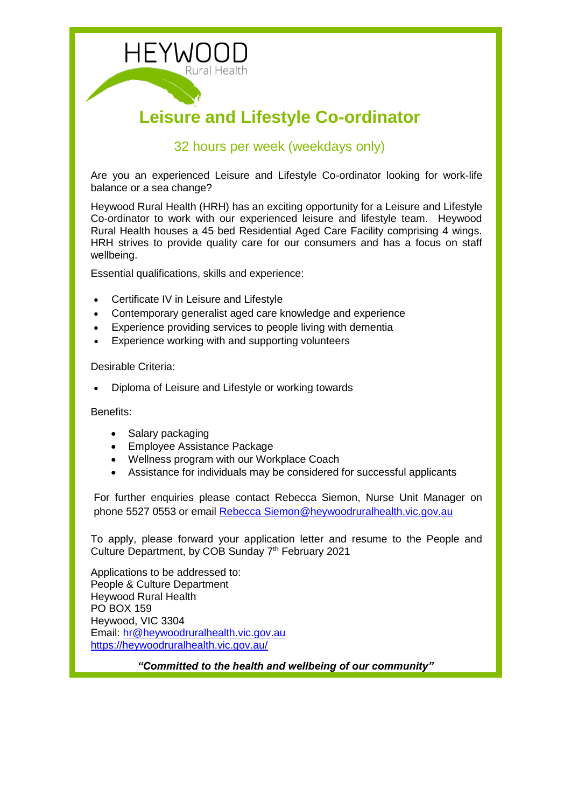

# 32 hours per week (weekdays only)

Are you an experienced Leisure and Lifestyle Co-ordinator looking for work-life balance or a sea change?

Heywood Rural Health (HRH) has an exciting opportunity for a Leisure and Lifestyle Co-ordinator to work with our experienced leisure and lifestyle team. Heywood Rural Health houses a 45 bed Residential Aged Care Facility comprising 4 wings. HRH strives to provide quality care for our consumers and has a focus on staff wellbeing.

Essential qualifications, skills and experience:

- Certificate IV in Leisure and Lifestyle
- Contemporary generalist aged care knowledge and experience
- Experience providing services to people living with dementia
- Experience working with and supporting volunteers

Desirable Criteria:

Diploma of Leisure and Lifestyle or working towards

Benefits:

- Salary packaging
- Employee Assistance Package
- Wellness program with our Workplace Coach
- Assistance for individuals may be considered for successful applicants

For further enquiries please contact Rebecca Siemon, Nurse Unit Manager on phone 5527 0553 or email [Rebecca Siemon@heywoodruralhealth.vic.gov.au](mailto:Rebecca%20Siemon@heywoodruralhealth.vic.gov.au)

To apply, please forward your application letter and resume to the People and Culture Department, by COB Sunday 7<sup>th</sup> February 2021

Applications to be addressed to: People & Culture Department Heywood Rural Health PO BOX 159 Heywood, VIC 3304 Email: [hr@heywoodruralhealth.vic.gov.au](mailto:hr@heywoodruralhealth.vic.gov.au) <https://heywoodruralhealth.vic.gov.au/>

*"Committed to the health and wellbeing of our community"*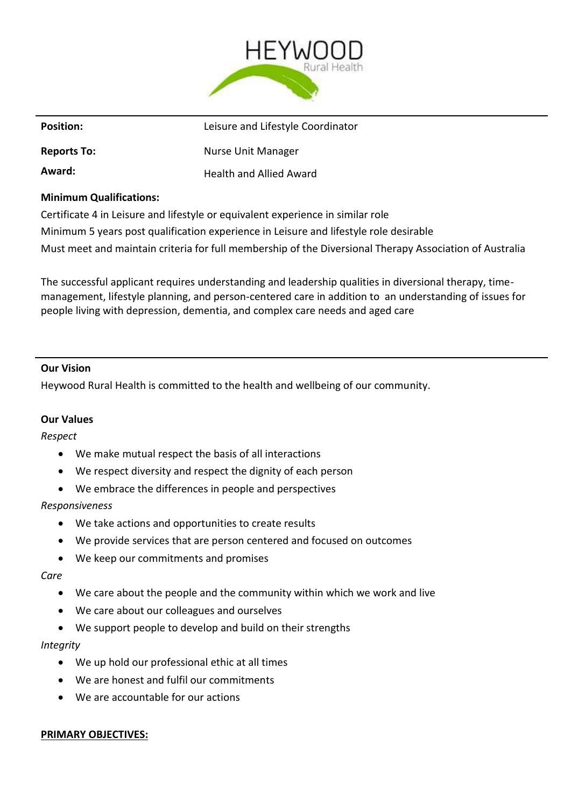

| <b>Position:</b>               | Leisure and Lifestyle Coordinator |
|--------------------------------|-----------------------------------|
| <b>Reports To:</b>             | <b>Nurse Unit Manager</b>         |
| Award:                         | <b>Health and Allied Award</b>    |
| <b>Minimum Qualifications:</b> |                                   |

Certificate 4 in Leisure and lifestyle or equivalent experience in similar role Minimum 5 years post qualification experience in Leisure and lifestyle role desirable Must meet and maintain criteria for full membership of the Diversional Therapy Association of Australia

The successful applicant requires understanding and leadership qualities in diversional therapy, timemanagement, lifestyle planning, and person-centered care in addition to an understanding of issues for people living with depression, dementia, and complex care needs and aged care

### **Our Vision**

Heywood Rural Health is committed to the health and wellbeing of our community.

### **Our Values**

*Respect*

- We make mutual respect the basis of all interactions
- We respect diversity and respect the dignity of each person
- We embrace the differences in people and perspectives

### *Responsiveness*

- We take actions and opportunities to create results
- We provide services that are person centered and focused on outcomes
- We keep our commitments and promises

#### *Care*

- We care about the people and the community within which we work and live
- We care about our colleagues and ourselves
- We support people to develop and build on their strengths

### *Integrity*

- We up hold our professional ethic at all times
- We are honest and fulfil our commitments
- We are accountable for our actions

### **PRIMARY OBJECTIVES:**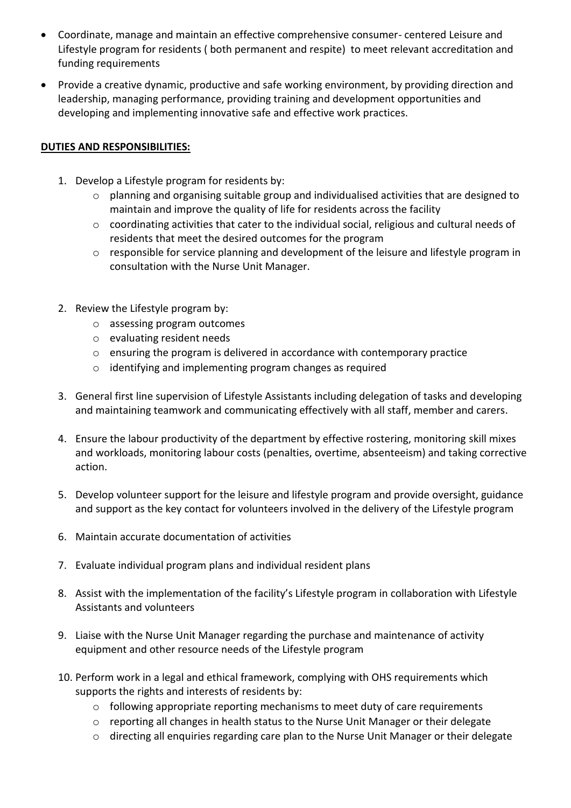- Coordinate, manage and maintain an effective comprehensive consumer- centered Leisure and Lifestyle program for residents ( both permanent and respite) to meet relevant accreditation and funding requirements
- Provide a creative dynamic, productive and safe working environment, by providing direction and leadership, managing performance, providing training and development opportunities and developing and implementing innovative safe and effective work practices.

## **DUTIES AND RESPONSIBILITIES:**

- 1. Develop a Lifestyle program for residents by:
	- $\circ$  planning and organising suitable group and individualised activities that are designed to maintain and improve the quality of life for residents across the facility
	- $\circ$  coordinating activities that cater to the individual social, religious and cultural needs of residents that meet the desired outcomes for the program
	- $\circ$  responsible for service planning and development of the leisure and lifestyle program in consultation with the Nurse Unit Manager.
- 2. Review the Lifestyle program by:
	- o assessing program outcomes
	- o evaluating resident needs
	- $\circ$  ensuring the program is delivered in accordance with contemporary practice
	- o identifying and implementing program changes as required
- 3. General first line supervision of Lifestyle Assistants including delegation of tasks and developing and maintaining teamwork and communicating effectively with all staff, member and carers.
- 4. Ensure the labour productivity of the department by effective rostering, monitoring skill mixes and workloads, monitoring labour costs (penalties, overtime, absenteeism) and taking corrective action.
- 5. Develop volunteer support for the leisure and lifestyle program and provide oversight, guidance and support as the key contact for volunteers involved in the delivery of the Lifestyle program
- 6. Maintain accurate documentation of activities
- 7. Evaluate individual program plans and individual resident plans
- 8. Assist with the implementation of the facility's Lifestyle program in collaboration with Lifestyle Assistants and volunteers
- 9. Liaise with the Nurse Unit Manager regarding the purchase and maintenance of activity equipment and other resource needs of the Lifestyle program
- 10. Perform work in a legal and ethical framework, complying with OHS requirements which supports the rights and interests of residents by:
	- o following appropriate reporting mechanisms to meet duty of care requirements
	- o reporting all changes in health status to the Nurse Unit Manager or their delegate
	- o directing all enquiries regarding care plan to the Nurse Unit Manager or their delegate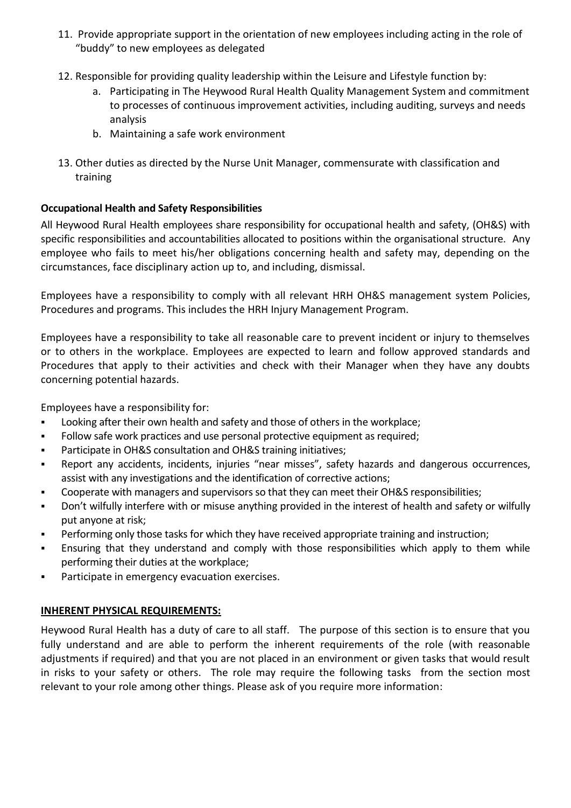- 11. Provide appropriate support in the orientation of new employees including acting in the role of "buddy" to new employees as delegated
- 12. Responsible for providing quality leadership within the Leisure and Lifestyle function by:
	- a. Participating in The Heywood Rural Health Quality Management System and commitment to processes of continuous improvement activities, including auditing, surveys and needs analysis
	- b. Maintaining a safe work environment
- 13. Other duties as directed by the Nurse Unit Manager, commensurate with classification and training

## **Occupational Health and Safety Responsibilities**

All Heywood Rural Health employees share responsibility for occupational health and safety, (OH&S) with specific responsibilities and accountabilities allocated to positions within the organisational structure. Any employee who fails to meet his/her obligations concerning health and safety may, depending on the circumstances, face disciplinary action up to, and including, dismissal.

Employees have a responsibility to comply with all relevant HRH OH&S management system Policies, Procedures and programs. This includes the HRH Injury Management Program.

Employees have a responsibility to take all reasonable care to prevent incident or injury to themselves or to others in the workplace. Employees are expected to learn and follow approved standards and Procedures that apply to their activities and check with their Manager when they have any doubts concerning potential hazards.

Employees have a responsibility for:

- **Looking after their own health and safety and those of others in the workplace;**
- Follow safe work practices and use personal protective equipment as required;
- Participate in OH&S consultation and OH&S training initiatives;
- Report any accidents, incidents, injuries "near misses", safety hazards and dangerous occurrences, assist with any investigations and the identification of corrective actions;
- Cooperate with managers and supervisors so that they can meet their OH&S responsibilities;
- Don't wilfully interfere with or misuse anything provided in the interest of health and safety or wilfully put anyone at risk;
- Performing only those tasks for which they have received appropriate training and instruction;
- Ensuring that they understand and comply with those responsibilities which apply to them while performing their duties at the workplace;
- Participate in emergency evacuation exercises.

## **INHERENT PHYSICAL REQUIREMENTS:**

Heywood Rural Health has a duty of care to all staff. The purpose of this section is to ensure that you fully understand and are able to perform the inherent requirements of the role (with reasonable adjustments if required) and that you are not placed in an environment or given tasks that would result in risks to your safety or others. The role may require the following tasks from the section most relevant to your role among other things. Please ask of you require more information: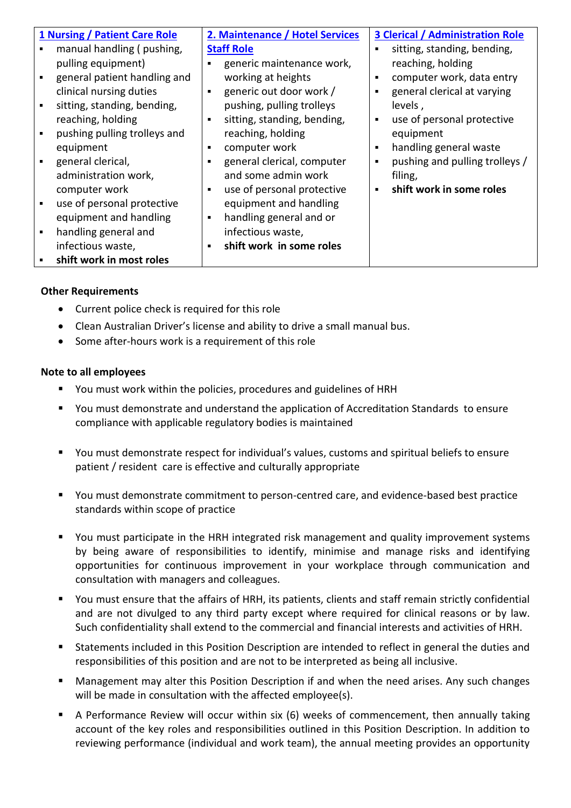| 1 Nursing / Patient Care Role | 2. Maintenance / Hotel Services           | <b>3 Clerical / Administration Role</b>     |
|-------------------------------|-------------------------------------------|---------------------------------------------|
| manual handling (pushing,     | <b>Staff Role</b>                         | sitting, standing, bending,                 |
| pulling equipment)            | generic maintenance work,                 | reaching, holding                           |
| general patient handling and  | working at heights                        | computer work, data entry<br>$\blacksquare$ |
| clinical nursing duties       | generic out door work /<br>$\blacksquare$ | general clerical at varying                 |
| sitting, standing, bending,   | pushing, pulling trolleys                 | levels,                                     |
| reaching, holding             | sitting, standing, bending,<br>٠          | use of personal protective<br>٠             |
| pushing pulling trolleys and  | reaching, holding                         | equipment                                   |
| equipment                     | computer work<br>٠                        | handling general waste<br>٠                 |
| general clerical,             | general clerical, computer<br>٠           | pushing and pulling trolleys /              |
| administration work,          | and some admin work                       | filing,                                     |
| computer work                 | use of personal protective<br>٠           | shift work in some roles<br>$\blacksquare$  |
| use of personal protective    | equipment and handling                    |                                             |
| equipment and handling        | handling general and or<br>٠              |                                             |
| handling general and          | infectious waste,                         |                                             |
| infectious waste,             | shift work in some roles<br>٠             |                                             |
| shift work in most roles      |                                           |                                             |

## **Other Requirements**

- Current police check is required for this role
- Clean Australian Driver's license and ability to drive a small manual bus.
- Some after-hours work is a requirement of this role

### **Note to all employees**

- You must work within the policies, procedures and guidelines of HRH
- You must demonstrate and understand the application of Accreditation Standards to ensure compliance with applicable regulatory bodies is maintained
- You must demonstrate respect for individual's values, customs and spiritual beliefs to ensure patient / resident care is effective and culturally appropriate
- You must demonstrate commitment to person-centred care, and evidence-based best practice standards within scope of practice
- You must participate in the HRH integrated risk management and quality improvement systems by being aware of responsibilities to identify, minimise and manage risks and identifying opportunities for continuous improvement in your workplace through communication and consultation with managers and colleagues.
- You must ensure that the affairs of HRH, its patients, clients and staff remain strictly confidential and are not divulged to any third party except where required for clinical reasons or by law. Such confidentiality shall extend to the commercial and financial interests and activities of HRH.
- Statements included in this Position Description are intended to reflect in general the duties and responsibilities of this position and are not to be interpreted as being all inclusive.
- Management may alter this Position Description if and when the need arises. Any such changes will be made in consultation with the affected employee(s).
- A Performance Review will occur within six (6) weeks of commencement, then annually taking account of the key roles and responsibilities outlined in this Position Description. In addition to reviewing performance (individual and work team), the annual meeting provides an opportunity